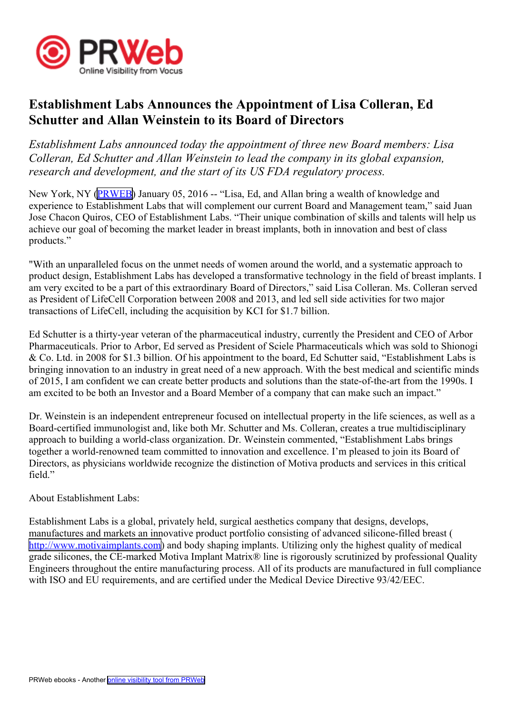

## **Establishment Labs Announces the Appointment of Lisa Colleran, Ed Schutter and Allan Weinstein to its Board of Directors**

*Establishment Labs announced today the appointment of three new Board members: Lisa Colleran, Ed Schutter and Allan Weinstein to lead the company in its global expansion, research and development, and the start of its US FDA regulatory process.*

New York, NY ([PRWEB](http://www.prweb.com)) January 05, 2016 -- "Lisa, Ed, and Allan bring a wealth of knowledge and experience to Establishment Labs that will complement our current Board and Management team," said Juan Jose Chacon Quiros, CEO of Establishment Labs. "Their unique combination of skills and talents will help us achieve our goal of becoming the market leader in breast implants, both in innovation and best of class products."

"With an unparalleled focus on the unmet needs of women around the world, and <sup>a</sup> systematic approach to product design, Establishment Labs has developed <sup>a</sup> transformative technology in the field of breast implants. I am very excited to be <sup>a</sup> par<sup>t</sup> of this extraordinary Board of Directors," said Lisa Colleran. Ms. Colleran served as President of LifeCell Corporation between 2008 and 2013, and led sell side activities for two major transactions of LifeCell, including the acquisition by KCI for \$1.7 billion.

Ed Schutter is <sup>a</sup> thirty-year veteran of the pharmaceutical industry, currently the President and CEO of Arbor Pharmaceuticals. Prior to Arbor, Ed served as President of Sciele Pharmaceuticals which was sold to Shionogi & Co. Ltd. in 2008 for \$1.3 billion. Of his appointment to the board, Ed Schutter said, "Establishment Labs is bringing innovation to an industry in grea<sup>t</sup> need of <sup>a</sup> new approach. With the best medical and scientific minds of 2015, I am confident we can create better products and solutions than the state-of-the-art from the 1990s. I am excited to be both an Investor and <sup>a</sup> Board Member of <sup>a</sup> company that can make such an impact."

Dr. Weinstein is an independent entrepreneur focused on intellectual property in the life sciences, as well as <sup>a</sup> Board-certified immunologist and, like both Mr. Schutter and Ms. Colleran, creates <sup>a</sup> true multidisciplinary approach to building <sup>a</sup> world-class organization. Dr. Weinstein commented, "Establishment Labs brings together <sup>a</sup> world-renowned team committed to innovation and excellence. I'm pleased to join its Board of Directors, as physicians worldwide recognize the distinction of Motiva products and services in this critical field"

## About Establishment Labs:

Establishment Labs is <sup>a</sup> global, privately held, surgical aesthetics company that designs, develops, manufactures and markets an innovative product portfolio consisting of advanced silicone-filled breast ( <http://www.motivaimplants.com>) and body shaping implants. Utilizing only the highest quality of medical grade silicones, the CE-marked Motiva Implant Matrix® line is rigorously scrutinized by professional Quality Engineers throughout the entire manufacturing process. All of its products are manufactured in full compliance with ISO and EU requirements, and are certified under the Medical Device Directive 93/42/EEC.